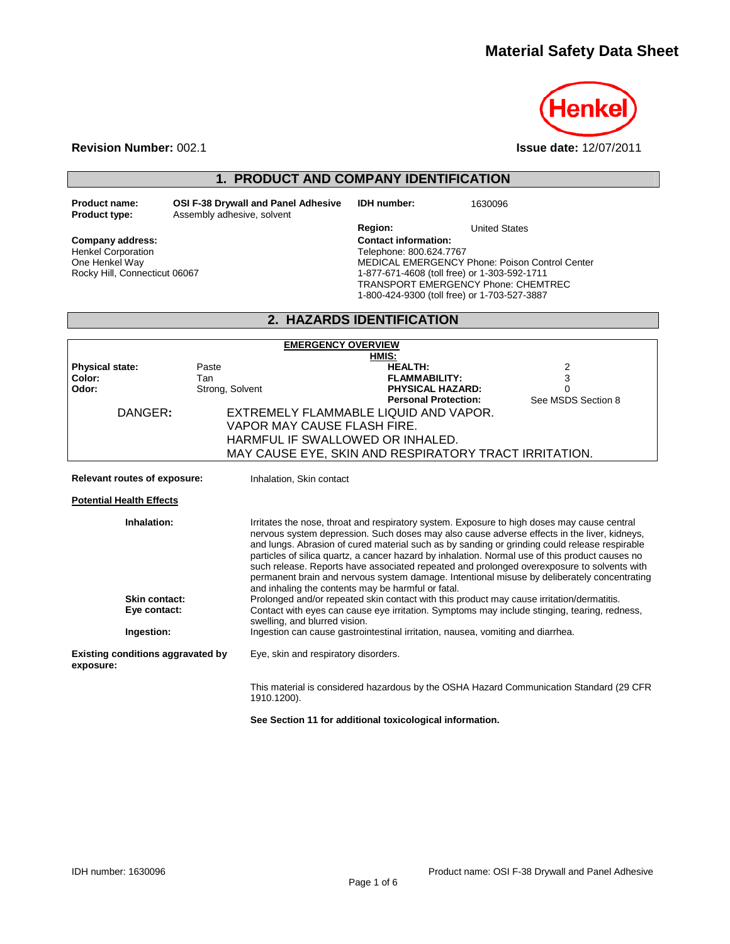

**Revision Number:** 002.1 **Issue date:** 12/07/2011

# **1. PRODUCT AND COMPANY IDENTIFICATION**

**Product name: CSI F-38 Drywall and Panel Adhesive IDH number:** 1630096<br>**Product type:** Assembly adhesive, solvent Assembly adhesive, solvent

Company address: **Company address: Contact information:** Henkel Corporation One Henkel Way

Rocky Hill, Connecticut 06067

**Region:** United States Telephone: 800.624.7767 MEDICAL EMERGENCY Phone: Poison Control Center 1-877-671-4608 (toll free) or 1-303-592-1711 TRANSPORT EMERGENCY Phone: CHEMTREC 1-800-424-9300 (toll free) or 1-703-527-3887

# **2. HAZARDS IDENTIFICATION**

| <b>EMERGENCY OVERVIEW</b>                             |                 |                                                                                                                                                                                                                                                                                                                                                                                                                                                                                                                                                                                             |                                    |  |  |
|-------------------------------------------------------|-----------------|---------------------------------------------------------------------------------------------------------------------------------------------------------------------------------------------------------------------------------------------------------------------------------------------------------------------------------------------------------------------------------------------------------------------------------------------------------------------------------------------------------------------------------------------------------------------------------------------|------------------------------------|--|--|
|                                                       | HMIS:           |                                                                                                                                                                                                                                                                                                                                                                                                                                                                                                                                                                                             |                                    |  |  |
| <b>Physical state:</b>                                | Paste           | <b>HEALTH:</b>                                                                                                                                                                                                                                                                                                                                                                                                                                                                                                                                                                              | 2                                  |  |  |
| Color:                                                | Tan             | <b>FLAMMABILITY:</b>                                                                                                                                                                                                                                                                                                                                                                                                                                                                                                                                                                        | 3                                  |  |  |
| Odor:                                                 | Strong, Solvent | <b>PHYSICAL HAZARD:</b><br><b>Personal Protection:</b>                                                                                                                                                                                                                                                                                                                                                                                                                                                                                                                                      | $\mathbf{0}$<br>See MSDS Section 8 |  |  |
|                                                       |                 |                                                                                                                                                                                                                                                                                                                                                                                                                                                                                                                                                                                             |                                    |  |  |
| DANGER:                                               |                 | EXTREMELY FLAMMABLE LIQUID AND VAPOR.                                                                                                                                                                                                                                                                                                                                                                                                                                                                                                                                                       |                                    |  |  |
|                                                       |                 | VAPOR MAY CAUSE FLASH FIRE.                                                                                                                                                                                                                                                                                                                                                                                                                                                                                                                                                                 |                                    |  |  |
|                                                       |                 | HARMFUL IF SWALLOWED OR INHALED.                                                                                                                                                                                                                                                                                                                                                                                                                                                                                                                                                            |                                    |  |  |
|                                                       |                 | MAY CAUSE EYE, SKIN AND RESPIRATORY TRACT IRRITATION.                                                                                                                                                                                                                                                                                                                                                                                                                                                                                                                                       |                                    |  |  |
|                                                       |                 |                                                                                                                                                                                                                                                                                                                                                                                                                                                                                                                                                                                             |                                    |  |  |
| Relevant routes of exposure:                          |                 | Inhalation, Skin contact                                                                                                                                                                                                                                                                                                                                                                                                                                                                                                                                                                    |                                    |  |  |
| <b>Potential Health Effects</b>                       |                 |                                                                                                                                                                                                                                                                                                                                                                                                                                                                                                                                                                                             |                                    |  |  |
| Inhalation:                                           |                 | Irritates the nose, throat and respiratory system. Exposure to high doses may cause central<br>nervous system depression. Such doses may also cause adverse effects in the liver, kidneys,<br>and lungs. Abrasion of cured material such as by sanding or grinding could release respirable<br>particles of silica quartz, a cancer hazard by inhalation. Normal use of this product causes no<br>such release. Reports have associated repeated and prolonged overexposure to solvents with<br>permanent brain and nervous system damage. Intentional misuse by deliberately concentrating |                                    |  |  |
|                                                       |                 | and inhaling the contents may be harmful or fatal.                                                                                                                                                                                                                                                                                                                                                                                                                                                                                                                                          |                                    |  |  |
| Skin contact:                                         |                 | Prolonged and/or repeated skin contact with this product may cause irritation/dermatitis.                                                                                                                                                                                                                                                                                                                                                                                                                                                                                                   |                                    |  |  |
| Eye contact:                                          |                 | Contact with eyes can cause eye irritation. Symptoms may include stinging, tearing, redness,<br>swelling, and blurred vision.                                                                                                                                                                                                                                                                                                                                                                                                                                                               |                                    |  |  |
| Ingestion:                                            |                 | Ingestion can cause gastrointestinal irritation, nausea, vomiting and diarrhea.                                                                                                                                                                                                                                                                                                                                                                                                                                                                                                             |                                    |  |  |
| <b>Existing conditions aggravated by</b><br>exposure: |                 | Eye, skin and respiratory disorders.                                                                                                                                                                                                                                                                                                                                                                                                                                                                                                                                                        |                                    |  |  |
|                                                       |                 | This material is considered hazardous by the OSHA Hazard Communication Standard (29 CFR<br>1910.1200).                                                                                                                                                                                                                                                                                                                                                                                                                                                                                      |                                    |  |  |

**See Section 11 for additional toxicological information.**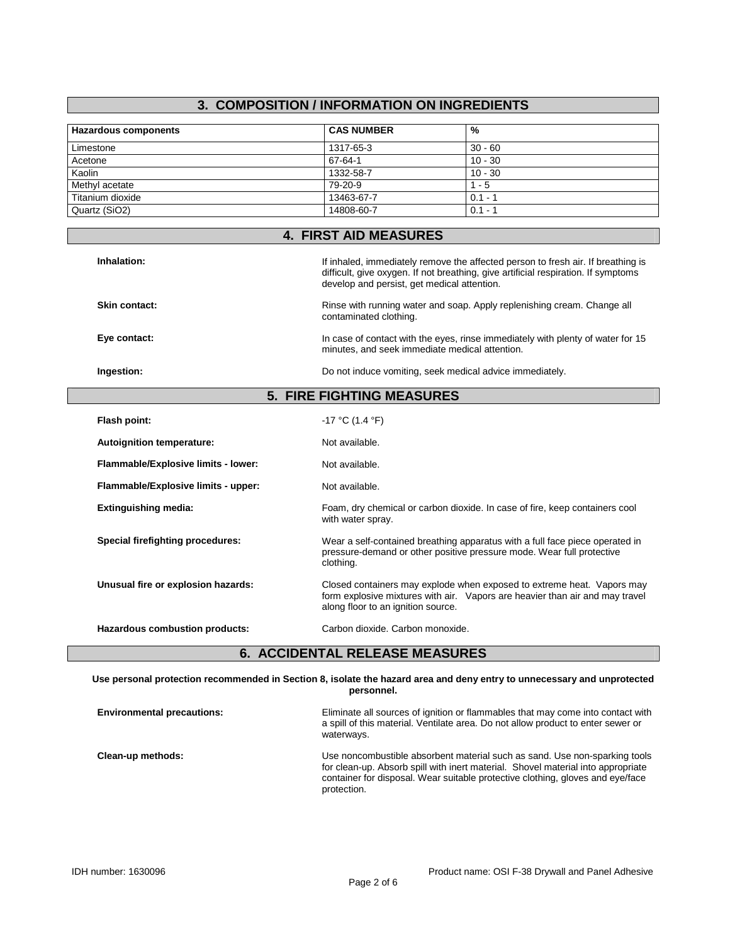# **3. COMPOSITION / INFORMATION ON INGREDIENTS**

| <b>Hazardous components</b> | <b>CAS NUMBER</b> | %         |
|-----------------------------|-------------------|-----------|
| Limestone                   | 1317-65-3         | $30 - 60$ |
| Acetone                     | 67-64-1           | $10 - 30$ |
| Kaolin                      | 1332-58-7         | $10 - 30$ |
| Methyl acetate              | 79-20-9           | 1 - 5     |
| Titanium dioxide            | 13463-67-7        | $0.1 - ?$ |
| Quartz (SiO2)               | 14808-60-7        | $0.1 -$   |

| <b>4. FIRST AID MEASURES</b>        |                                                                                                                                                                                                                       |  |
|-------------------------------------|-----------------------------------------------------------------------------------------------------------------------------------------------------------------------------------------------------------------------|--|
| Inhalation:                         | If inhaled, immediately remove the affected person to fresh air. If breathing is<br>difficult, give oxygen. If not breathing, give artificial respiration. If symptoms<br>develop and persist, get medical attention. |  |
| <b>Skin contact:</b>                | Rinse with running water and soap. Apply replenishing cream. Change all<br>contaminated clothing.                                                                                                                     |  |
| Eye contact:                        | In case of contact with the eyes, rinse immediately with plenty of water for 15<br>minutes, and seek immediate medical attention.                                                                                     |  |
| Ingestion:                          | Do not induce vomiting, seek medical advice immediately.                                                                                                                                                              |  |
| <b>5. FIRE FIGHTING MEASURES</b>    |                                                                                                                                                                                                                       |  |
| Flash point:                        | $-17$ °C (1.4 °F)                                                                                                                                                                                                     |  |
| Autoignition temperature:           | Not available.                                                                                                                                                                                                        |  |
| Flammable/Explosive limits - lower: | Not available.                                                                                                                                                                                                        |  |
| Flammable/Explosive limits - upper: | Not available.                                                                                                                                                                                                        |  |
| <b>Extinguishing media:</b>         | Foam, dry chemical or carbon dioxide. In case of fire, keep containers cool<br>with water spray.                                                                                                                      |  |
| Special firefighting procedures:    | Wear a self-contained breathing apparatus with a full face piece operated in<br>pressure-demand or other positive pressure mode. Wear full protective<br>clothing.                                                    |  |
| Unusual fire or explosion hazards:  | Closed containers may explode when exposed to extreme heat. Vapors may<br>form explosive mixtures with air. Vapors are heavier than air and may travel<br>along floor to an ignition source.                          |  |
|                                     |                                                                                                                                                                                                                       |  |

**Use personal protection recommended in Section 8, isolate the hazard area and deny entry to unnecessary and unprotected personnel.** 

| <b>Environmental precautions:</b> | Eliminate all sources of ignition or flammables that may come into contact with<br>a spill of this material. Ventilate area. Do not allow product to enter sewer or<br>waterways.                                                                               |
|-----------------------------------|-----------------------------------------------------------------------------------------------------------------------------------------------------------------------------------------------------------------------------------------------------------------|
| Clean-up methods:                 | Use noncombustible absorbent material such as sand. Use non-sparking tools<br>for clean-up. Absorb spill with inert material. Shovel material into appropriate<br>container for disposal. Wear suitable protective clothing, gloves and eye/face<br>protection. |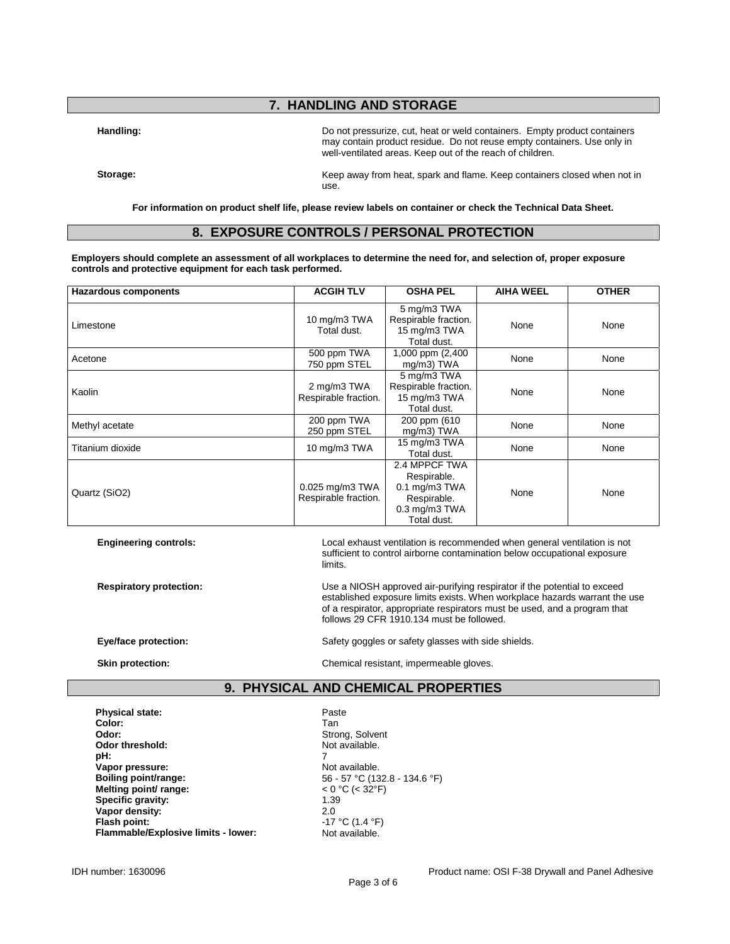# **7. HANDLING AND STORAGE**

**Handling:** Do not pressurize, cut, heat or weld containers. Empty product containers may contain product residue. Do not reuse empty containers. Use only in well-ventilated areas. Keep out of the reach of children.

**Storage:** Keep away from heat, spark and flame. Keep containers closed when not in use.

**For information on product shelf life, please review labels on container or check the Technical Data Sheet.** 

### **8. EXPOSURE CONTROLS / PERSONAL PROTECTION**

**Employers should complete an assessment of all workplaces to determine the need for, and selection of, proper exposure controls and protective equipment for each task performed.** 

| <b>Hazardous components</b> | <b>ACGIH TLV</b>                        | <b>OSHA PEL</b>                                                                                        | <b>AIHA WEEL</b> | <b>OTHER</b> |
|-----------------------------|-----------------------------------------|--------------------------------------------------------------------------------------------------------|------------------|--------------|
| Limestone                   | 10 mg/m3 TWA<br>Total dust.             | 5 mg/m3 TWA<br>Respirable fraction.<br>15 mg/m3 TWA<br>Total dust.                                     | None             | None         |
| Acetone                     | 500 ppm TWA<br>750 ppm STEL             | 1,000 ppm (2,400<br>mg/m3) TWA                                                                         | None             | None         |
| Kaolin                      | 2 mg/m3 TWA<br>Respirable fraction.     | 5 mg/m3 TWA<br>Respirable fraction.<br>15 mg/m3 TWA<br>Total dust.                                     | None             | None         |
| Methyl acetate              | 200 ppm TWA<br>250 ppm STEL             | 200 ppm (610)<br>$mg/m3$ ) TWA                                                                         | None             | None         |
| Titanium dioxide            | 10 mg/m3 TWA                            | 15 mg/m3 TWA<br>Total dust.                                                                            | None             | None         |
| Quartz (SiO2)               | 0.025 mg/m3 TWA<br>Respirable fraction. | 2.4 MPPCF TWA<br>Respirable.<br>$0.1$ mg/m $3$ TWA<br>Respirable.<br>$0.3$ mg/m $3$ TWA<br>Total dust. | None             | None         |

**Engineering controls:** Local exhaust ventilation is recommended when general ventilation is not sufficient to control airborne contamination below occupational exposure limits.

**Respiratory protection:** Use a NIOSH approved air-purifying respirator if the potential to exceed established exposure limits exists. When workplace hazards warrant the use of a respirator, appropriate respirators must be used, and a program that follows 29 CFR 1910.134 must be followed.

**Eye/face protection: Safety goggles or safety glasses with side shields.** Safety glasses with side shields.

**Skin protection: Chemical resistant, impermeable gloves.** Chemical resistant, impermeable gloves.

# **9. PHYSICAL AND CHEMICAL PROPERTIES**

Strong, Solvent<br>Not available.

**Flash point:** -17 °C (1.4 °F)

Physical state: **Physical state: Paste Color:** Tan Odor threshold:<br>pH: **pH:** 7 **Vapor pressure:** Not available. **Melting point/ range:**  $\leq 0 \degree C \leq 32 \degree F$ <br> **Specific gravity:**  $\leq 1.39$ **Specific gravity: Vapor density:** 2.0 **Flammable/Explosive limits - lower:** Not available.

IDH number: 1630096 **Product name: OSI F-38 Drywall and Panel Adhesive** Product name: OSI F-38 Drywall and Panel Adhesive

**Boiling point/range:** 56 - 57 °C (132.8 - 134.6 °F)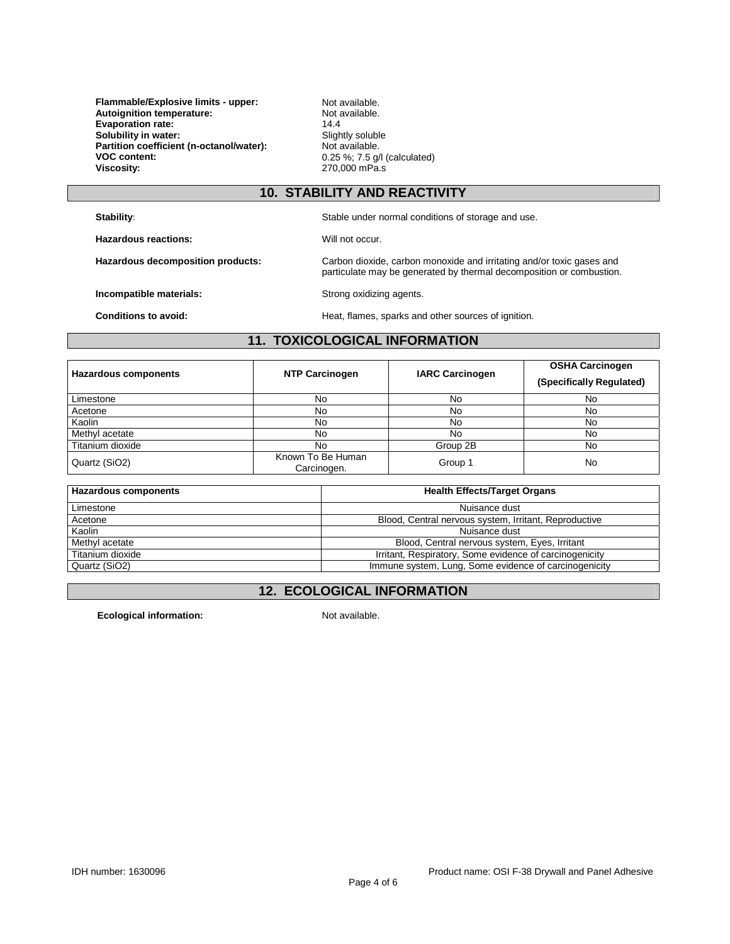**Flammable/Explosive limits - upper:** Not available.<br> **Autoignition temperature:** Not available. **Autoignition temperature:** Not a<br> **Evaporation rate:** 14.4 **Evaporation rate: Solubility in water:** Slightly soluble Partition coefficient (n-octanol/water): Slightly soluble. Partition coefficient (n-octanol/water):<br>VOC content: **VOC content:**  $0.25\%$ ; 7.5 g/l (calculated)<br>**Viscosity:** 270,000 mPa.s

**Viscosity:** 270,000 mPa.s

## **10. STABILITY AND REACTIVITY**

**Stability:** Stable under normal conditions of storage and use.

**Hazardous reactions: Will not occur.** 

**Hazardous decomposition products:** Carbon dioxide, carbon monoxide and irritating and/or toxic gases and particulate may be generated by thermal decomposition or combustion.

**Incompatible materials: Strong oxidizing agents.** 

**Conditions to avoid: Heat**, flames, sparks and other sources of ignition.

## **11. TOXICOLOGICAL INFORMATION**

| <b>Hazardous components</b> | <b>NTP Carcinogen</b>            | <b>IARC Carcinogen</b> | <b>OSHA Carcinogen</b><br>(Specifically Regulated) |
|-----------------------------|----------------------------------|------------------------|----------------------------------------------------|
| Limestone                   | No                               | No                     | No                                                 |
| Acetone                     | No                               | No                     | No                                                 |
| Kaolin                      | No                               | No                     | No                                                 |
| Methyl acetate              | No                               | No                     | No                                                 |
| Titanium dioxide            | No                               | Group 2B               | No                                                 |
| Quartz (SiO2)               | Known To Be Human<br>Carcinogen. | Group 1                | No                                                 |

| Hazardous components | <b>Health Effects/Target Organs</b>                     |
|----------------------|---------------------------------------------------------|
| Limestone            | Nuisance dust                                           |
| Acetone              | Blood, Central nervous system, Irritant, Reproductive   |
| Kaolin               | Nuisance dust                                           |
| Methyl acetate       | Blood, Central nervous system, Eyes, Irritant           |
| Titanium dioxide     | Irritant, Respiratory, Some evidence of carcinogenicity |
| Quartz (SiO2)        | Immune system, Lung, Some evidence of carcinogenicity   |

# **12. ECOLOGICAL INFORMATION**

**Ecological information:** Not available.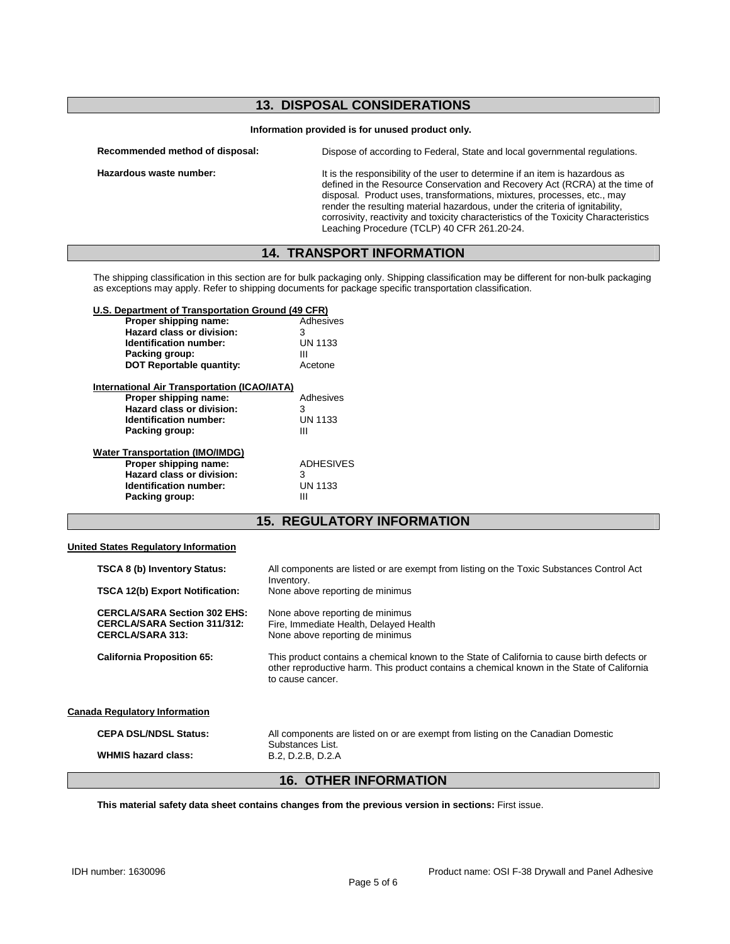# **13. DISPOSAL CONSIDERATIONS**

#### **Information provided is for unused product only.**

| Recommended method of disposal: | Dispose of according to Federal, State and local governmental regulations.                                                                                                                                                                                                                                                                                                                                                                                    |
|---------------------------------|---------------------------------------------------------------------------------------------------------------------------------------------------------------------------------------------------------------------------------------------------------------------------------------------------------------------------------------------------------------------------------------------------------------------------------------------------------------|
| Hazardous waste number:         | It is the responsibility of the user to determine if an item is hazardous as<br>defined in the Resource Conservation and Recovery Act (RCRA) at the time of<br>disposal. Product uses, transformations, mixtures, processes, etc., may<br>render the resulting material hazardous, under the criteria of ignitability,<br>corrosivity, reactivity and toxicity characteristics of the Toxicity Characteristics<br>Leaching Procedure (TCLP) 40 CFR 261.20-24. |

## **14. TRANSPORT INFORMATION**

The shipping classification in this section are for bulk packaging only. Shipping classification may be different for non-bulk packaging as exceptions may apply. Refer to shipping documents for package specific transportation classification.

#### **U.S. Department of Transportation Ground (49 CFR)**

| Proper shipping name:           | Adhesives      |
|---------------------------------|----------------|
| Hazard class or division:       | з              |
| <b>Identification number:</b>   | <b>UN 1133</b> |
| Packing group:                  | Ш              |
| <b>DOT Reportable quantity:</b> | Acetone        |
|                                 |                |

| <b>International Air Transportation (ICAO/IATA)</b>                                                                                      |                                              |
|------------------------------------------------------------------------------------------------------------------------------------------|----------------------------------------------|
| Proper shipping name:                                                                                                                    | Adhesives                                    |
| Hazard class or division:                                                                                                                | 3                                            |
| Identification number:                                                                                                                   | <b>UN 1133</b>                               |
| Packing group:                                                                                                                           | Ш                                            |
| <b>Water Transportation (IMO/IMDG)</b><br>Proper shipping name:<br>Hazard class or division:<br>Identification number:<br>Packing group: | <b>ADHESIVES</b><br>3<br><b>UN 1133</b><br>Ш |

## **15. REGULATORY INFORMATION**

#### **United States Regulatory Information**

|                                      | ______________________                                                                                |                                                                                                                                                                                                               |  |
|--------------------------------------|-------------------------------------------------------------------------------------------------------|---------------------------------------------------------------------------------------------------------------------------------------------------------------------------------------------------------------|--|
|                                      | <b>WHMIS hazard class:</b>                                                                            | Substances List.<br>B.2, D.2.B, D.2.A                                                                                                                                                                         |  |
|                                      | <b>CEPA DSL/NDSL Status:</b>                                                                          | All components are listed on or are exempt from listing on the Canadian Domestic                                                                                                                              |  |
| <b>Canada Regulatory Information</b> |                                                                                                       |                                                                                                                                                                                                               |  |
|                                      | <b>California Proposition 65:</b>                                                                     | This product contains a chemical known to the State of California to cause birth defects or<br>other reproductive harm. This product contains a chemical known in the State of California<br>to cause cancer. |  |
|                                      | <b>CERCLA/SARA Section 302 EHS:</b><br><b>CERCLA/SARA Section 311/312:</b><br><b>CERCLA/SARA 313:</b> | None above reporting de minimus<br>Fire, Immediate Health, Delayed Health<br>None above reporting de minimus                                                                                                  |  |
|                                      | <b>TSCA 12(b) Export Notification:</b>                                                                | None above reporting de minimus                                                                                                                                                                               |  |
|                                      | <b>TSCA 8 (b) Inventory Status:</b>                                                                   | All components are listed or are exempt from listing on the Toxic Substances Control Act<br>Inventory.                                                                                                        |  |

### **16. OTHER INFORMATION**

**This material safety data sheet contains changes from the previous version in sections:** First issue.